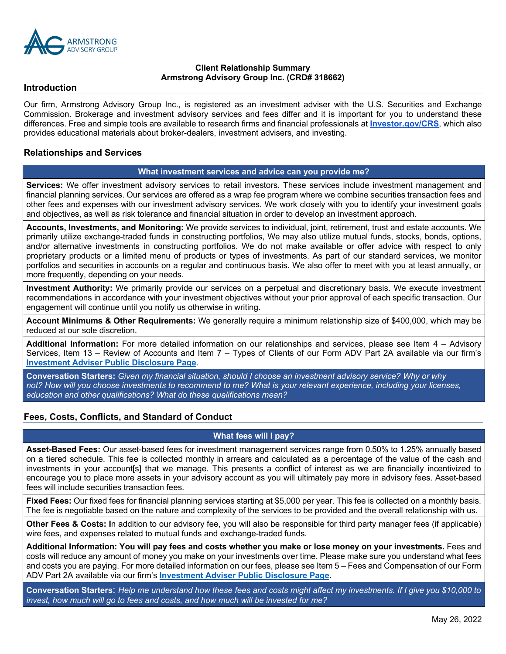

### **Client Relationship Summary Armstrong Advisory Group Inc. (CRD# 318662)**

#### **Introduction**

Our firm, Armstrong Advisory Group Inc., is registered as an investment adviser with the U.S. Securities and Exchange Commission. Brokerage and investment advisory services and fees differ and it is important for you to understand these differences. Free and simple tools are available to research firms and financial professionals at **Investor.gov/CRS**, which also provides educational materials about broker-dealers, investment advisers, and investing.

### **Relationships and Services**

#### **What investment services and advice can you provide me?**

**Services:** We offer investment advisory services to retail investors. These services include investment management and financial planning services. Our services are offered as a wrap fee program where we combine securities transaction fees and other fees and expenses with our investment advisory services. We work closely with you to identify your investment goals and objectives, as well as risk tolerance and financial situation in order to develop an investment approach.

**Accounts, Investments, and Monitoring:** We provide services to individual, joint, retirement, trust and estate accounts. We primarily utilize exchange-traded funds in constructing portfolios, We may also utilize mutual funds, stocks, bonds, options, and/or alternative investments in constructing portfolios. We do not make available or offer advice with respect to only proprietary products or a limited menu of products or types of investments. As part of our standard services, we monitor portfolios and securities in accounts on a regular and continuous basis. We also offer to meet with you at least annually, or more frequently, depending on your needs.

**Investment Authority:** We primarily provide our services on a perpetual and discretionary basis. We execute investment recommendations in accordance with your investment objectives without your prior approval of each specific transaction. Our engagement will continue until you notify us otherwise in writing.

**Account Minimums & Other Requirements:** We generally require a minimum relationship size of \$400,000, which may be reduced at our sole discretion.

**Additional Information:** For more detailed information on our relationships and services, please see Item 4 – Advisory Services, Item 13 – Review of Accounts and Item 7 – Types of Clients of our Form ADV Part 2A available via our firm's **Investment Adviser Public Disclosure Page**.

**Conversation Starters:** *Given my financial situation, should I choose an investment advisory service? Why or why not? How will you choose investments to recommend to me? What is your relevant experience, including your licenses, education and other qualifications? What do these qualifications mean?*

#### **Fees, Costs, Conflicts, and Standard of Conduct**

# **What fees will I pay?**

**Asset-Based Fees:** Our asset-based fees for investment management services range from 0.50% to 1.25% annually based on a tiered schedule. This fee is collected monthly in arrears and calculated as a percentage of the value of the cash and investments in your account[s] that we manage. This presents a conflict of interest as we are financially incentivized to encourage you to place more assets in your advisory account as you will ultimately pay more in advisory fees. Asset-based fees will include securities transaction fees.

**Fixed Fees:** Our fixed fees for financial planning services starting at \$5,000 per year. This fee is collected on a monthly basis. The fee is negotiable based on the nature and complexity of the services to be provided and the overall relationship with us.

**Other Fees & Costs: I**n addition to our advisory fee, you will also be responsible for third party manager fees (if applicable) wire fees, and expenses related to mutual funds and exchange-traded funds.

**Additional Information: You will pay fees and costs whether you make or lose money on your investments.** Fees and costs will reduce any amount of money you make on your investments over time. Please make sure you understand what fees and costs you are paying. For more detailed information on our fees, please see Item 5 – Fees and Compensation of our Form ADV Part 2A available via our firm's **Investment Adviser Public Disclosure Page**.

**Conversation Starters**: *Help me understand how these fees and costs might affect my investments. If I give you \$10,000 to invest, how much will go to fees and costs, and how much will be invested for me?*